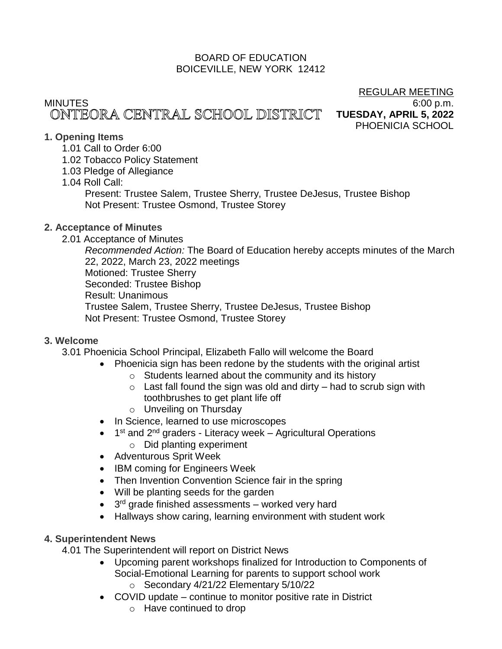# BOARD OF EDUCATION BOICEVILLE, NEW YORK 12412

# MINUTES 6:00 p.m.

REGULAR MEETING **TUESDAY, APRIL 5, 2022** PHOENICIA SCHOOL

# **1. Opening Items**

- 1.01 Call to Order 6:00
- 1.02 Tobacco Policy Statement
- 1.03 Pledge of Allegiance

# 1.04 Roll Call:

Present: Trustee Salem, Trustee Sherry, Trustee DeJesus, Trustee Bishop Not Present: Trustee Osmond, Trustee Storey

# **2. Acceptance of Minutes**

2.01 Acceptance of Minutes

*Recommended Action:* The Board of Education hereby accepts minutes of the March 22, 2022, March 23, 2022 meetings Motioned: Trustee Sherry Seconded: Trustee Bishop Result: Unanimous Trustee Salem, Trustee Sherry, Trustee DeJesus, Trustee Bishop Not Present: Trustee Osmond, Trustee Storey

# **3. Welcome**

3.01 Phoenicia School Principal, Elizabeth Fallo will welcome the Board

- Phoenicia sign has been redone by the students with the original artist
	- o Students learned about the community and its history
	- $\circ$  Last fall found the sign was old and dirty had to scrub sign with toothbrushes to get plant life off
	- o Unveiling on Thursday
- In Science, learned to use microscopes
- 1<sup>st</sup> and 2<sup>nd</sup> graders Literacy week Agricultural Operations o Did planting experiment
- Adventurous Sprit Week
- IBM coming for Engineers Week
- Then Invention Convention Science fair in the spring
- Will be planting seeds for the garden
- 3<sup>rd</sup> grade finished assessments worked very hard
- Hallways show caring, learning environment with student work

# **4. Superintendent News**

4.01 The Superintendent will report on District News

- Upcoming parent workshops finalized for Introduction to Components of Social-Emotional Learning for parents to support school work
	- o Secondary 4/21/22 Elementary 5/10/22
- COVID update continue to monitor positive rate in District
	- o Have continued to drop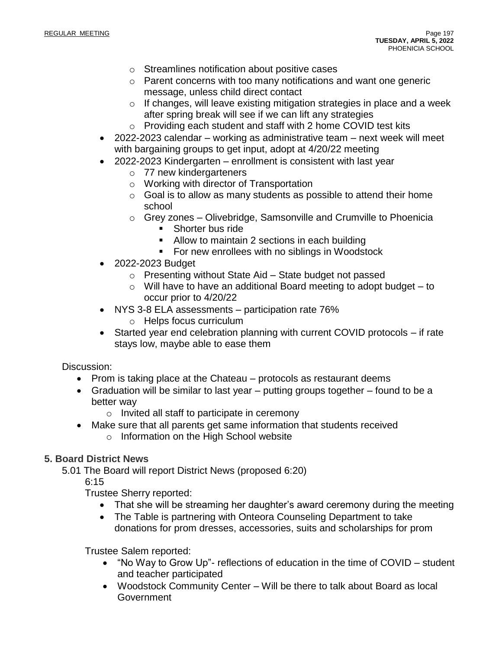- o Streamlines notification about positive cases
- o Parent concerns with too many notifications and want one generic message, unless child direct contact
- o If changes, will leave existing mitigation strategies in place and a week after spring break will see if we can lift any strategies
- o Providing each student and staff with 2 home COVID test kits
- 2022-2023 calendar working as administrative team next week will meet with bargaining groups to get input, adopt at 4/20/22 meeting
- 2022-2023 Kindergarten enrollment is consistent with last year
	- o 77 new kindergarteners
	- o Working with director of Transportation
	- $\circ$  Goal is to allow as many students as possible to attend their home school
	- o Grey zones Olivebridge, Samsonville and Crumville to Phoenicia ■ Shorter bus ride
		-
		- Allow to maintain 2 sections in each building
		- For new enrollees with no siblings in Woodstock
- 2022-2023 Budget
	- o Presenting without State Aid State budget not passed
	- $\circ$  Will have to have an additional Board meeting to adopt budget to occur prior to 4/20/22
- NYS 3-8 ELA assessments participation rate 76%
	- o Helps focus curriculum
- Started year end celebration planning with current COVID protocols if rate stays low, maybe able to ease them

# Discussion:

- Prom is taking place at the Chateau protocols as restaurant deems
- Graduation will be similar to last year putting groups together found to be a better way
	- o Invited all staff to participate in ceremony
- Make sure that all parents get same information that students received
	- o Information on the High School website

# **5. Board District News**

5.01 The Board will report District News (proposed 6:20)

6:15

Trustee Sherry reported:

- That she will be streaming her daughter's award ceremony during the meeting
- The Table is partnering with Onteora Counseling Department to take donations for prom dresses, accessories, suits and scholarships for prom

Trustee Salem reported:

- "No Way to Grow Up"- reflections of education in the time of COVID student and teacher participated
- Woodstock Community Center Will be there to talk about Board as local **Government**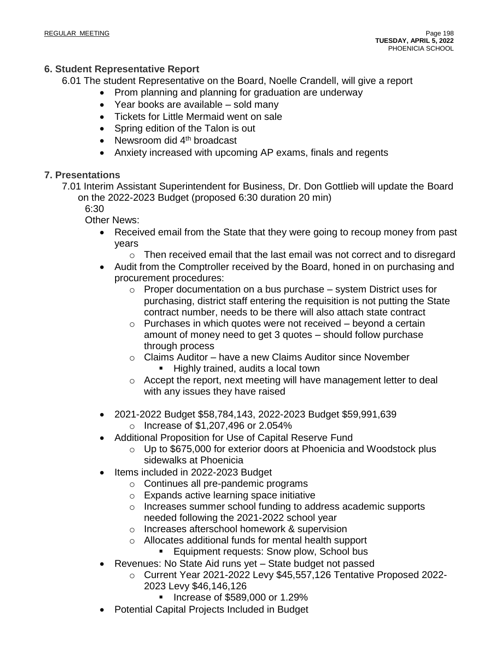# **6. Student Representative Report**

6.01 The student Representative on the Board, Noelle Crandell, will give a report

- Prom planning and planning for graduation are underway
	- Year books are available sold many
	- Tickets for Little Mermaid went on sale
	- Spring edition of the Talon is out
	- Newsroom did  $4<sup>th</sup>$  broadcast
	- Anxiety increased with upcoming AP exams, finals and regents

# **7. Presentations**

7.01 Interim Assistant Superintendent for Business, Dr. Don Gottlieb will update the Board on the 2022-2023 Budget (proposed 6:30 duration 20 min)

6:30

Other News:

• Received email from the State that they were going to recoup money from past years

 $\circ$  Then received email that the last email was not correct and to disregard

- Audit from the Comptroller received by the Board, honed in on purchasing and procurement procedures:
	- o Proper documentation on a bus purchase system District uses for purchasing, district staff entering the requisition is not putting the State contract number, needs to be there will also attach state contract
	- $\circ$  Purchases in which quotes were not received beyond a certain amount of money need to get 3 quotes – should follow purchase through process
	- o Claims Auditor have a new Claims Auditor since November
		- Highly trained, audits a local town
	- o Accept the report, next meeting will have management letter to deal with any issues they have raised
- 2021-2022 Budget \$58,784,143, 2022-2023 Budget \$59,991,639
	- o Increase of \$1,207,496 or 2.054%
- Additional Proposition for Use of Capital Reserve Fund
	- o Up to \$675,000 for exterior doors at Phoenicia and Woodstock plus sidewalks at Phoenicia
- Items included in 2022-2023 Budget
	- o Continues all pre-pandemic programs
	- o Expands active learning space initiative
	- o Increases summer school funding to address academic supports needed following the 2021-2022 school year
	- o Increases afterschool homework & supervision
	- o Allocates additional funds for mental health support
		- Equipment requests: Snow plow, School bus
- Revenues: No State Aid runs yet State budget not passed
	- o Current Year 2021-2022 Levy \$45,557,126 Tentative Proposed 2022- 2023 Levy \$46,146,126
		- Increase of \$589,000 or 1.29%
- Potential Capital Projects Included in Budget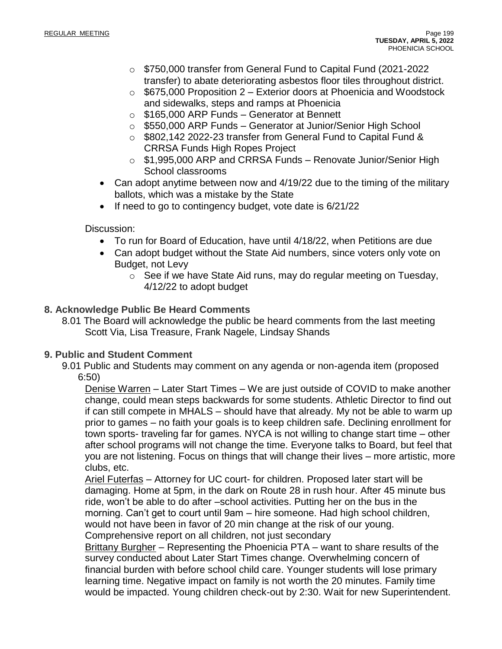- o \$750,000 transfer from General Fund to Capital Fund (2021-2022 transfer) to abate deteriorating asbestos floor tiles throughout district.
- $\circ$  \$675,000 Proposition 2 Exterior doors at Phoenicia and Woodstock and sidewalks, steps and ramps at Phoenicia
- o \$165,000 ARP Funds Generator at Bennett
- o \$550,000 ARP Funds Generator at Junior/Senior High School
- o \$802,142 2022-23 transfer from General Fund to Capital Fund & CRRSA Funds High Ropes Project
- o \$1,995,000 ARP and CRRSA Funds Renovate Junior/Senior High School classrooms
- Can adopt anytime between now and 4/19/22 due to the timing of the military ballots, which was a mistake by the State
- If need to go to contingency budget, vote date is 6/21/22

Discussion:

- To run for Board of Education, have until 4/18/22, when Petitions are due
- Can adopt budget without the State Aid numbers, since voters only vote on Budget, not Levy
	- o See if we have State Aid runs, may do regular meeting on Tuesday, 4/12/22 to adopt budget

# **8. Acknowledge Public Be Heard Comments**

8.01 The Board will acknowledge the public be heard comments from the last meeting Scott Via, Lisa Treasure, Frank Nagele, Lindsay Shands

# **9. Public and Student Comment**

9.01 Public and Students may comment on any agenda or non-agenda item (proposed 6:50)

Denise Warren – Later Start Times – We are just outside of COVID to make another change, could mean steps backwards for some students. Athletic Director to find out if can still compete in MHALS – should have that already. My not be able to warm up prior to games – no faith your goals is to keep children safe. Declining enrollment for town sports- traveling far for games. NYCA is not willing to change start time – other after school programs will not change the time. Everyone talks to Board, but feel that you are not listening. Focus on things that will change their lives – more artistic, more clubs, etc.

Ariel Futerfas – Attorney for UC court- for children. Proposed later start will be damaging. Home at 5pm, in the dark on Route 28 in rush hour. After 45 minute bus ride, won't be able to do after –school activities. Putting her on the bus in the morning. Can't get to court until 9am – hire someone. Had high school children, would not have been in favor of 20 min change at the risk of our young. Comprehensive report on all children, not just secondary

Brittany Burgher – Representing the Phoenicia PTA – want to share results of the survey conducted about Later Start Times change. Overwhelming concern of financial burden with before school child care. Younger students will lose primary learning time. Negative impact on family is not worth the 20 minutes. Family time would be impacted. Young children check-out by 2:30. Wait for new Superintendent.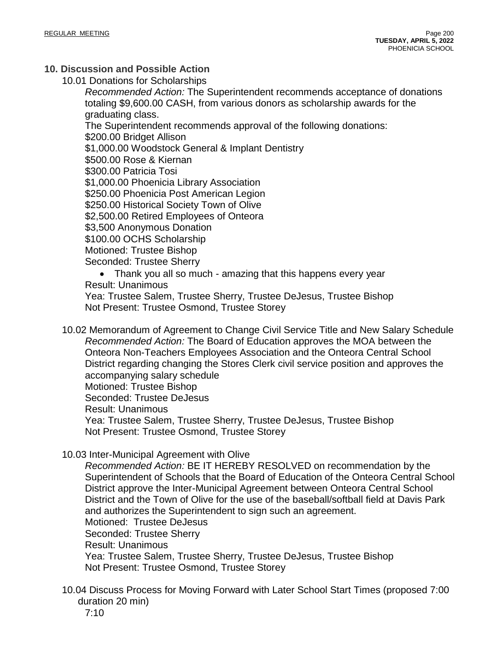# **10. Discussion and Possible Action**

10.01 Donations for Scholarships

*Recommended Action:* The Superintendent recommends acceptance of donations totaling \$9,600.00 CASH, from various donors as scholarship awards for the graduating class.

The Superintendent recommends approval of the following donations: \$200.00 Bridget Allison \$1,000.00 Woodstock General & Implant Dentistry \$500.00 Rose & Kiernan \$300.00 Patricia Tosi \$1,000.00 Phoenicia Library Association \$250.00 Phoenicia Post American Legion \$250.00 Historical Society Town of Olive \$2,500.00 Retired Employees of Onteora \$3,500 Anonymous Donation \$100.00 OCHS Scholarship Motioned: Trustee Bishop Seconded: Trustee Sherry

• Thank you all so much - amazing that this happens every year Result: Unanimous

Yea: Trustee Salem, Trustee Sherry, Trustee DeJesus, Trustee Bishop Not Present: Trustee Osmond, Trustee Storey

10.02 Memorandum of Agreement to Change Civil Service Title and New Salary Schedule *Recommended Action:* The Board of Education approves the MOA between the Onteora Non-Teachers Employees Association and the Onteora Central School District regarding changing the Stores Clerk civil service position and approves the accompanying salary schedule Motioned: Trustee Bishop Seconded: Trustee DeJesus Result: Unanimous Yea: Trustee Salem, Trustee Sherry, Trustee DeJesus, Trustee Bishop Not Present: Trustee Osmond, Trustee Storey

10.03 Inter-Municipal Agreement with Olive

*Recommended Action:* BE IT HEREBY RESOLVED on recommendation by the Superintendent of Schools that the Board of Education of the Onteora Central School District approve the Inter-Municipal Agreement between Onteora Central School District and the Town of Olive for the use of the baseball/softball field at Davis Park and authorizes the Superintendent to sign such an agreement. Motioned: Trustee DeJesus Seconded: Trustee Sherry Result: Unanimous Yea: Trustee Salem, Trustee Sherry, Trustee DeJesus, Trustee Bishop Not Present: Trustee Osmond, Trustee Storey

10.04 Discuss Process for Moving Forward with Later School Start Times (proposed 7:00 duration 20 min)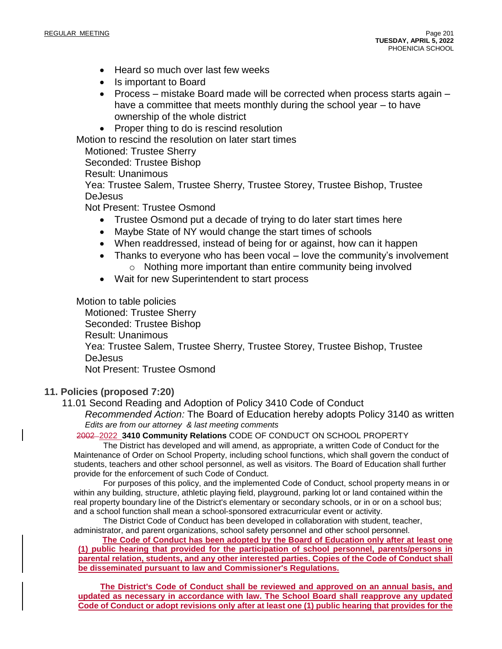- Heard so much over last few weeks
- Is important to Board
- Process mistake Board made will be corrected when process starts again have a committee that meets monthly during the school year – to have ownership of the whole district
- Proper thing to do is rescind resolution

Motion to rescind the resolution on later start times

Motioned: Trustee Sherry

Seconded: Trustee Bishop

Result: Unanimous

Yea: Trustee Salem, Trustee Sherry, Trustee Storey, Trustee Bishop, Trustee **DeJesus** 

Not Present: Trustee Osmond

- Trustee Osmond put a decade of trying to do later start times here
- Maybe State of NY would change the start times of schools
- When readdressed, instead of being for or against, how can it happen
- Thanks to everyone who has been vocal love the community's involvement o Nothing more important than entire community being involved
- Wait for new Superintendent to start process

Motion to table policies

Motioned: Trustee Sherry Seconded: Trustee Bishop Result: Unanimous Yea: Trustee Salem, Trustee Sherry, Trustee Storey, Trustee Bishop, Trustee **DeJesus** Not Present: Trustee Osmond

## **11. Policies (proposed 7:20)**

11.01 Second Reading and Adoption of Policy 3410 Code of Conduct *Recommended Action:* The Board of Education hereby adopts Policy 3140 as written *Edits are from our attorney & last meeting comments*

2002 2022 **3410 Community Relations** CODE OF CONDUCT ON SCHOOL PROPERTY

The District has developed and will amend, as appropriate, a written Code of Conduct for the Maintenance of Order on School Property, including school functions, which shall govern the conduct of students, teachers and other school personnel, as well as visitors. The Board of Education shall further provide for the enforcement of such Code of Conduct.

For purposes of this policy, and the implemented Code of Conduct, school property means in or within any building, structure, athletic playing field, playground, parking lot or land contained within the real property boundary line of the District's elementary or secondary schools, or in or on a school bus; and a school function shall mean a school-sponsored extracurricular event or activity.

The District Code of Conduct has been developed in collaboration with student, teacher, administrator, and parent organizations, school safety personnel and other school personnel.

**The Code of Conduct has been adopted by the Board of Education only after at least one (1) public hearing that provided for the participation of school personnel, parents/persons in parental relation, students, and any other interested parties. Copies of the Code of Conduct shall be disseminated pursuant to law and Commissioner's Regulations.**

**The District's Code of Conduct shall be reviewed and approved on an annual basis, and updated as necessary in accordance with law. The School Board shall reapprove any updated** Code of Conduct or adopt revisions only after at least one (1) public hearing that provides for the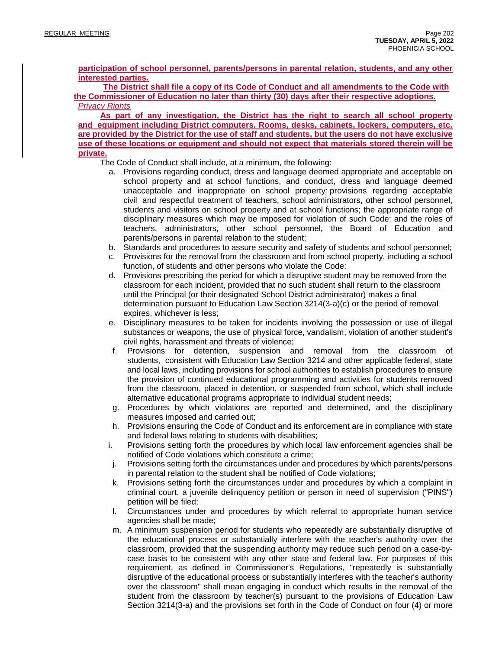**participation of school personnel, parents/persons in parental relation, students, and any other interested parties.**

**The District shall file a copy of its Code of Conduct and all amendments to the Code with the Commissioner of Education no later than thirty (30) days after their respective adoptions.** *Privacy Rights*

**As part of any investigation, the District has the right to search all school property and equipment including District computers. Rooms, desks, cabinets, lockers, computers, etc.** are provided by the District for the use of staff and students, but the users do not have exclusive **use of these locations or equipment and should not expect that materials stored therein will be private.**

The Code of Conduct shall include, at a minimum, the following:

- a. Provisions regarding conduct, dress and language deemed appropriate and acceptable on school property and at school functions, and conduct, dress and language deemed unacceptable and inappropriate on school property*;* provisions regarding acceptable civil and respectful treatment of teachers, school administrators, other school personnel, students and visitors on school property and at school functions; the appropriate range of disciplinary measures which may be imposed for violation of such Code; and the roles of teachers, administrators, other school personnel, the Board of Education and parents/persons in parental relation to the student;
- b. Standards and procedures to assure security and safety of students and school personnel;
- c. Provisions for the removal from the classroom and from school property, including a school function, of students and other persons who violate the Code;
- d. Provisions prescribing the period for which a disruptive student may be removed from the classroom for each incident, provided that no such student shall return to the classroom until the Principal (or their designated School District administrator) makes a final determination pursuant to Education Law Section 3214(3-a)(c) or the period of removal expires, whichever is less;
- e. Disciplinary measures to be taken for incidents involving the possession or use of illegal substances or weapons, the use of physical force, vandalism, violation of another student's civil rights, harassment and threats of violence;
- f. Provisions for detention, suspension and removal from the classroom of students, consistent with Education Law Section 3214 and other applicable federal, state and local laws, including provisions for school authorities to establish procedures to ensure the provision of continued educational programming and activities for students removed from the classroom, placed in detention, or suspended from school, which shall include alternative educational programs appropriate to individual student needs;
- g. Procedures by which violations are reported and determined, and the disciplinary measures imposed and carried out;
- h. Provisions ensuring the Code of Conduct and its enforcement are in compliance with state and federal laws relating to students with disabilities;
- i. Provisions setting forth the procedures by which local law enforcement agencies shall be notified of Code violations which constitute a crime;
- j. Provisions setting forth the circumstances under and procedures by which parents/persons in parental relation to the student shall be notified of Code violations;
- k. Provisions setting forth the circumstances under and procedures by which a complaint in criminal court, a juvenile delinquency petition or person in need of supervision ("PINS") petition will be filed;
- l. Circumstances under and procedures by which referral to appropriate human service agencies shall be made;
- m. A minimum suspension period for students who repeatedly are substantially disruptive of the educational process or substantially interfere with the teacher's authority over the classroom, provided that the suspending authority may reduce such period on a case-bycase basis to be consistent with any other state and federal law. For purposes of this requirement, as defined in Commissioner's Regulations, "repeatedly is substantially disruptive of the educational process or substantially interferes with the teacher's authority over the classroom" shall mean engaging in conduct which results in the removal of the student from the classroom by teacher(s) pursuant to the provisions of Education Law Section 3214(3-a) and the provisions set forth in the Code of Conduct on four (4) or more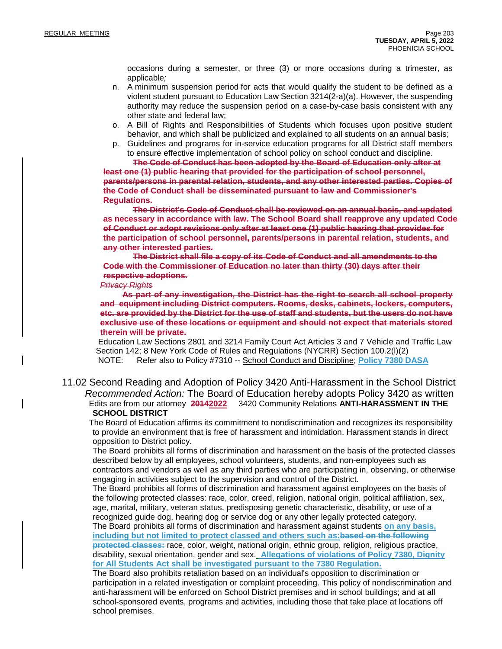occasions during a semester, or three (3) or more occasions during a trimester, as applicable*;*

- n. A minimum suspension period for acts that would qualify the student to be defined as a violent student pursuant to Education Law Section 3214(2-a)(a). However, the suspending authority may reduce the suspension period on a case-by-case basis consistent with any other state and federal law;
- o. A Bill of Rights and Responsibilities of Students which focuses upon positive student behavior, and which shall be publicized and explained to all students on an annual basis;
- p. Guidelines and programs for in-service education programs for all District staff members to ensure effective implementation of school policy on school conduct and discipline.

**The Code of Conduct has been adopted by the Board of Education only after at least one (1) public hearing that provided for the participation of school personnel, parents/persons in parental relation, students, and any other interested parties. Copies of the Code of Conduct shall be disseminated pursuant to law and Commissioner's Regulations.**

**The District's Code of Conduct shall be reviewed on an annual basis, and updated as necessary in accordance with law. The School Board shall reapprove any updated Code of Conduct or adopt revisions only after at least one (1) public hearing that provides for the participation of school personnel, parents/persons in parental relation, students, and any other interested parties.**

**The District shall file a copy of its Code of Conduct and all amendments to the Code with the Commissioner of Education no later than thirty (30) days after their respective adoptions.**

#### *Privacy Rights*

**As part of any investigation, the District has the right to search all school property and equipment including District computers. Rooms, desks, cabinets, lockers, computers,** etc, are provided by the District for the use of staff and students, but the users do not have **exclusive use of these locations or equipment and should not expect that materials stored therein will be private.**

Education Law Sections 2801 and 3214 Family Court Act Articles 3 and 7 Vehicle and Traffic Law Section 142; 8 New York Code of Rules and Regulations (NYCRR) Section 100.2(l)(2) NOTE: Refer also to Policy #7310 -- School Conduct and Discipline; **Policy 7380 DASA**

11.02 Second Reading and Adoption of Policy 3420 Anti-Harassment in the School District *Recommended Action:* The Board of Education hereby adopts Policy 3420 as written Edits are from our attorney **20142022** 3420 Community Relations **ANTI-HARASSMENT IN THE SCHOOL DISTRICT**

The Board of Education affirms its commitment to nondiscrimination and recognizes its responsibility to provide an environment that is free of harassment and intimidation. Harassment stands in direct opposition to District policy.

The Board prohibits all forms of discrimination and harassment on the basis of the protected classes described below by all employees, school volunteers, students, and non-employees such as contractors and vendors as well as any third parties who are participating in, observing, or otherwise engaging in activities subject to the supervision and control of the District.

The Board prohibits all forms of discrimination and harassment against employees on the basis of the following protected classes: race, color, creed, religion, national origin, political affiliation, sex, age, marital, military, veteran status, predisposing genetic characteristic, disability, or use of a recognized guide dog, hearing dog or service dog or any other legally protected category. The Board prohibits all forms of discrimination and harassment against students **on any basis,**

**including but not limited to protect classed and others such as:based on the following protected classes:** race, color, weight, national origin, ethnic group, religion, religious practice, disability, sexual orientation, gender and sex. **Allegations of violations of Policy 7380, Dignity**

**for All Students Act shall be investigated pursuant to the 7380 Regulation.**

The Board also prohibits retaliation based on an individual's opposition to discrimination or participation in a related investigation or complaint proceeding. This policy of nondiscrimination and anti-harassment will be enforced on School District premises and in school buildings; and at all school-sponsored events, programs and activities, including those that take place at locations off school premises.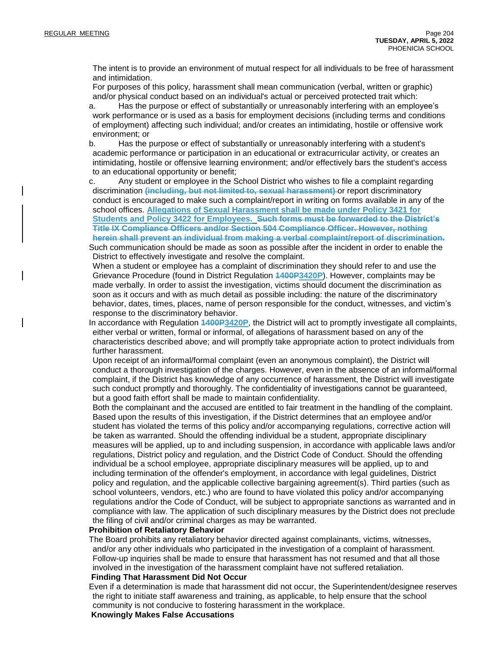The intent is to provide an environment of mutual respect for all individuals to be free of harassment and intimidation.

For purposes of this policy, harassment shall mean communication (verbal, written or graphic) and/or physical conduct based on an individual's actual or perceived protected trait which:

a. Has the purpose or effect of substantially or unreasonably interfering with an employee's work performance or is used as a basis for employment decisions (including terms and conditions of employment) affecting such individual; and/or creates an intimidating, hostile or offensive work environment; or

b. Has the purpose or effect of substantially or unreasonably interfering with a student's academic performance or participation in an educational or extracurricular activity, or creates an intimidating, hostile or offensive learning environment; and/or effectively bars the student's access to an educational opportunity or benefit;

c. Any student or employee in the School District who wishes to file a complaint regarding discrimination **(including, but not limited to, sexual harassment)** or report discriminatory conduct is encouraged to make such a complaint/report in writing on forms available in any of the school offices. **Allegations of Sexual Harassment shall be made under Policy 3421 for Students and Policy 3422 for Employees. Such forms must be forwarded to the District's Title IX Compliance Officers and/or Section 504 Compliance Officer. However, nothing herein shall prevent an individual from making a verbal complaint/report of discrimination.**

Such communication should be made as soon as possible after the incident in order to enable the District to effectively investigate and resolve the complaint.

When a student or employee has a complaint of discrimination they should refer to and use the Grievance Procedure (found in District Regulation **1400P3420P**). However, complaints may be made verbally. In order to assist the investigation, victims should document the discrimination as soon as it occurs and with as much detail as possible including: the nature of the discriminatory behavior, dates, times, places, name of person responsible for the conduct, witnesses, and victim's response to the discriminatory behavior.

In accordance with Regulation **1400P3420P**, the District will act to promptly investigate all complaints, either verbal or written, formal or informal, of allegations of harassment based on any of the characteristics described above; and will promptly take appropriate action to protect individuals from further harassment.

Upon receipt of an informal/formal complaint (even an anonymous complaint), the District will conduct a thorough investigation of the charges. However, even in the absence of an informal/formal complaint, if the District has knowledge of any occurrence of harassment, the District will investigate such conduct promptly and thoroughly. The confidentiality of investigations cannot be guaranteed, but a good faith effort shall be made to maintain confidentiality.

Both the complainant and the accused are entitled to fair treatment in the handling of the complaint. Based upon the results of this investigation, if the District determines that an employee and/or student has violated the terms of this policy and/or accompanying regulations, corrective action will be taken as warranted. Should the offending individual be a student, appropriate disciplinary measures will be applied, up to and including suspension, in accordance with applicable laws and/or regulations, District policy and regulation, and the District Code of Conduct. Should the offending individual be a school employee, appropriate disciplinary measures will be applied, up to and including termination of the offender's employment, in accordance with legal guidelines, District policy and regulation, and the applicable collective bargaining agreement(s). Third parties (such as school volunteers, vendors, etc.) who are found to have violated this policy and/or accompanying regulations and/or the Code of Conduct, will be subject to appropriate sanctions as warranted and in compliance with law. The application of such disciplinary measures by the District does not preclude the filing of civil and/or criminal charges as may be warranted.

#### **Prohibition of Retaliatory Behavior**

The Board prohibits any retaliatory behavior directed against complainants, victims, witnesses, and/or any other individuals who participated in the investigation of a complaint of harassment. Follow-up inquiries shall be made to ensure that harassment has not resumed and that all those involved in the investigation of the harassment complaint have not suffered retaliation.

#### **Finding That Harassment Did Not Occur**

Even if a determination is made that harassment did not occur, the Superintendent/designee reserves the right to initiate staff awareness and training, as applicable, to help ensure that the school community is not conducive to fostering harassment in the workplace.

**Knowingly Makes False Accusations**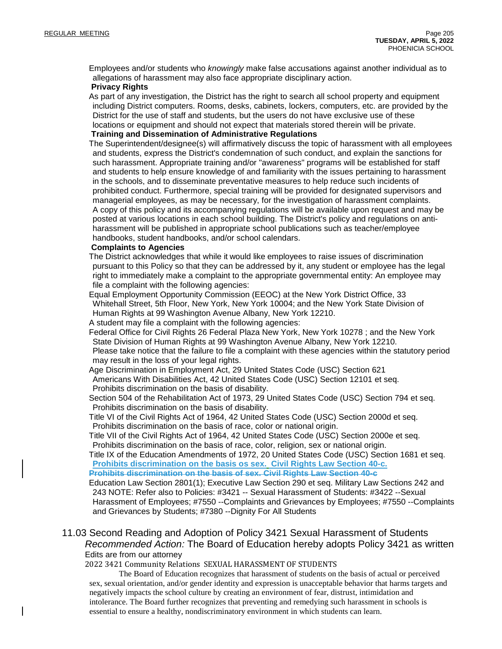Employees and/or students who *knowingly* make false accusations against another individual as to allegations of harassment may also face appropriate disciplinary action.

#### **Privacy Rights**

As part of any investigation, the District has the right to search all school property and equipment including District computers. Rooms, desks, cabinets, lockers, computers, etc. are provided by the District for the use of staff and students, but the users do not have exclusive use of these locations or equipment and should not expect that materials stored therein will be private.

#### **Training and Dissemination of Administrative Regulations**

The Superintendent/designee(s) will affirmatively discuss the topic of harassment with all employees and students, express the District's condemnation of such conduct, and explain the sanctions for such harassment. Appropriate training and/or "awareness" programs will be established for staff and students to help ensure knowledge of and familiarity with the issues pertaining to harassment in the schools, and to disseminate preventative measures to help reduce such incidents of prohibited conduct. Furthermore, special training will be provided for designated supervisors and managerial employees, as may be necessary, for the investigation of harassment complaints. A copy of this policy and its accompanying regulations will be available upon request and may be posted at various locations in each school building. The District's policy and regulations on antiharassment will be published in appropriate school publications such as teacher/employee handbooks, student handbooks, and/or school calendars.

#### **Complaints to Agencies**

The District acknowledges that while it would like employees to raise issues of discrimination pursuant to this Policy so that they can be addressed by it, any student or employee has the legal right to immediately make a complaint to the appropriate governmental entity: An employee may file a complaint with the following agencies:

Equal Employment Opportunity Commission (EEOC) at the New York District Office, 33 Whitehall Street, 5th Floor, New York, New York 10004; and the New York State Division of Human Rights at 99 Washington Avenue Albany, New York 12210.

A student may file a complaint with the following agencies:

Federal Office for Civil Rights 26 Federal Plaza New York, New York 10278 ; and the New York State Division of Human Rights at 99 Washington Avenue Albany, New York 12210. Please take notice that the failure to file a complaint with these agencies within the statutory period may result in the loss of your legal rights.

Age Discrimination in Employment Act, 29 United States Code (USC) Section 621 Americans With Disabilities Act, 42 United States Code (USC) Section 12101 et seq. Prohibits discrimination on the basis of disability.

Section 504 of the Rehabilitation Act of 1973, 29 United States Code (USC) Section 794 et seq. Prohibits discrimination on the basis of disability.

Title VI of the Civil Rights Act of 1964, 42 United States Code (USC) Section 2000d et seq. Prohibits discrimination on the basis of race, color or national origin.

Title VII of the Civil Rights Act of 1964, 42 United States Code (USC) Section 2000e et seq. Prohibits discrimination on the basis of race, color, religion, sex or national origin.

Title IX of the Education Amendments of 1972, 20 United States Code (USC) Section 1681 et seq. **Prohibits discrimination on the basis os sex. Civil Rights Law Section 40-c.**

**Prohibits discrimination on the basis of sex. Civil Rights Law Section 40-c**

Education Law Section 2801(1); Executive Law Section 290 et seq. Military Law Sections 242 and 243 NOTE: Refer also to Policies: #3421 -- Sexual Harassment of Students: #3422 --Sexual Harassment of Employees; #7550 --Complaints and Grievances by Employees; #7550 --Complaints and Grievances by Students; #7380 --Dignity For All Students

## 11.03 Second Reading and Adoption of Policy 3421 Sexual Harassment of Students *Recommended Action:* The Board of Education hereby adopts Policy 3421 as written Edits are from our attorney

2022 3421 Community Relations SEXUAL HARASSMENT OF STUDENTS

The Board of Education recognizes that harassment of students on the basis of actual or perceived sex, sexual orientation, and/or gender identity and expression is unacceptable behavior that harms targets and negatively impacts the school culture by creating an environment of fear, distrust, intimidation and intolerance. The Board further recognizes that preventing and remedying such harassment in schools is essential to ensure a healthy, nondiscriminatory environment in which students can learn.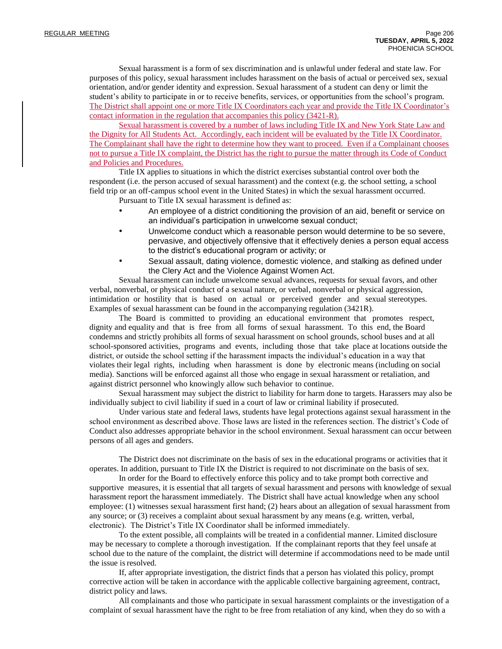Sexual harassment is a form of sex discrimination and is unlawful under federal and state law. For purposes of this policy, sexual harassment includes harassment on the basis of actual or perceived sex, sexual orientation, and/or gender identity and expression. Sexual harassment of a student can deny or limit the student's ability to participate in or to receive benefits, services, or opportunities from the school's program. The District shall appoint one or more Title IX Coordinators each year and provide the Title IX Coordinator's contact information in the regulation that accompanies this policy (3421-R).

Sexual harassment is covered by a number of laws including Title IX and New York State Law and the Dignity for All Students Act. Accordingly, each incident will be evaluated by the Title IX Coordinator. The Complainant shall have the right to determine how they want to proceed. Even if a Complainant chooses not to pursue a Title IX complaint, the District has the right to pursue the matter through its Code of Conduct and Policies and Procedures.

Title IX applies to situations in which the district exercises substantial control over both the respondent (i.e. the person accused of sexual harassment) and the context (e.g. the school setting, a school field trip or an off-campus school event in the United States) in which the sexual harassment occurred.

Pursuant to Title IX sexual harassment is defined as:

- An employee of a district conditioning the provision of an aid, benefit or service on an individual's participation in unwelcome sexual conduct;
- Unwelcome conduct which a reasonable person would determine to be so severe, pervasive, and objectively offensive that it effectively denies a person equal access to the district's educational program or activity; or
- Sexual assault, dating violence, domestic violence, and stalking as defined under the Clery Act and the Violence Against Women Act.

Sexual harassment can include unwelcome sexual advances, requests for sexual favors, and other verbal, nonverbal, or physical conduct of a sexual nature, or verbal, nonverbal or physical aggression, intimidation or hostility that is based on actual or perceived gender and sexual stereotypes. Examples of sexual harassment can be found in the accompanying regulation (3421R).

The Board is committed to providing an educational environment that promotes respect, dignity and equality and that is free from all forms of sexual harassment. To this end, the Board condemns and strictly prohibits all forms of sexual harassment on school grounds, school buses and at all school-sponsored activities, programs and events, including those that take place at locations outside the district, or outside the school setting if the harassment impacts the individual's education in a way that violates their legal rights, including when harassment is done by electronic means (including on social media). Sanctions will be enforced against all those who engage in sexual harassment or retaliation, and against district personnel who knowingly allow such behavior to continue.

Sexual harassment may subject the district to liability for harm done to targets. Harassers may also be individually subject to civil liability if sued in a court of law or criminal liability if prosecuted.

Under various state and federal laws, students have legal protections against sexual harassment in the school environment as described above. Those laws are listed in the references section. The district's Code of Conduct also addresses appropriate behavior in the school environment. Sexual harassment can occur between persons of all ages and genders.

The District does not discriminate on the basis of sex in the educational programs or activities that it operates. In addition, pursuant to Title IX the District is required to not discriminate on the basis of sex.

In order for the Board to effectively enforce this policy and to take prompt both corrective and supportive measures, it is essential that all targets of sexual harassment and persons with knowledge of sexual harassment report the harassment immediately. The District shall have actual knowledge when any school employee: (1) witnesses sexual harassment first hand; (2) hears about an allegation of sexual harassment from any source; or (3) receives a complaint about sexual harassment by any means (e.g. written, verbal, electronic). The District's Title IX Coordinator shall be informed immediately.

To the extent possible, all complaints will be treated in a confidential manner. Limited disclosure may be necessary to complete a thorough investigation. If the complainant reports that they feel unsafe at school due to the nature of the complaint, the district will determine if accommodations need to be made until the issue is resolved.

If, after appropriate investigation, the district finds that a person has violated this policy, prompt corrective action will be taken in accordance with the applicable collective bargaining agreement, contract, district policy and laws.

All complainants and those who participate in sexual harassment complaints or the investigation of a complaint of sexual harassment have the right to be free from retaliation of any kind, when they do so with a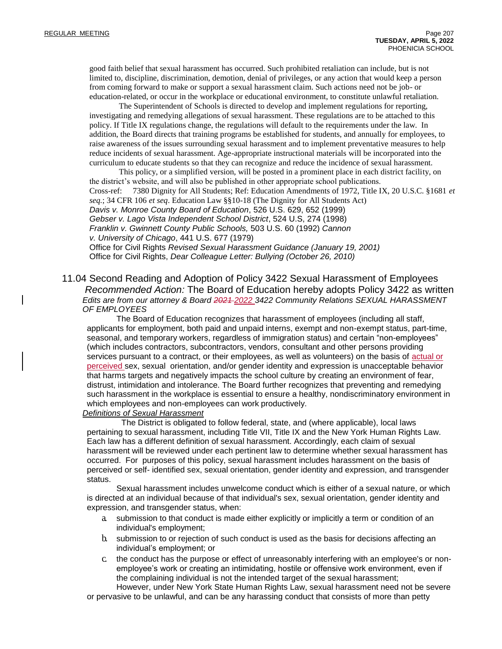good faith belief that sexual harassment has occurred. Such prohibited retaliation can include, but is not limited to, discipline, discrimination, demotion, denial of privileges, or any action that would keep a person from coming forward to make or support a sexual harassment claim. Such actions need not be job- or education-related, or occur in the workplace or educational environment, to constitute unlawful retaliation.

The Superintendent of Schools is directed to develop and implement regulations for reporting, investigating and remedying allegations of sexual harassment. These regulations are to be attached to this policy. If Title IX regulations change, the regulations will default to the requirements under the law. In addition, the Board directs that training programs be established for students, and annually for employees, to raise awareness of the issues surrounding sexual harassment and to implement preventative measures to help reduce incidents of sexual harassment. Age-appropriate instructional materials will be incorporated into the curriculum to educate students so that they can recognize and reduce the incidence of sexual harassment.

This policy, or a simplified version, will be posted in a prominent place in each district facility, on the district's website, and will also be published in other appropriate school publications. Cross-ref: 7380 Dignity for All Students; Ref: Education Amendments of 1972, Title IX, 20 U.S.C. §1681 *et* 

*seq.*; 34 CFR 106 *et seq*. Education Law §§10-18 (The Dignity for All Students Act)

*Davis v. Monroe County Board of Education*, 526 U.S. 629, 652 (1999) *Gebser v. Lago Vista Independent School District*, 524 U.S, 274 (1998)

*Franklin v. Gwinnett County Public Schools,* 503 U.S. 60 (1992) *Cannon* 

*v. University of Chicago*, 441 U.S. 677 (1979)

Office for Civil Rights *Revised Sexual Harassment Guidance (January 19, 2001)*  Office for Civil Rights, *Dear Colleague Letter: Bullying (October 26, 2010)*

11.04 Second Reading and Adoption of Policy 3422 Sexual Harassment of Employees *Recommended Action:* The Board of Education hereby adopts Policy 3422 as written *Edits are from our attorney & Board 2021 2022 3422 Community Relations SEXUAL HARASSMENT OF EMPLOYEES*

The Board of Education recognizes that harassment of employees (including all staff, applicants for employment, both paid and unpaid interns, exempt and non-exempt status, part-time, seasonal, and temporary workers, regardless of immigration status) and certain "non-employees" (which includes contractors, subcontractors, vendors, consultant and other persons providing services pursuant to a contract, or their employees, as well as volunteers) on the basis of actual or perceived sex, sexual orientation, and/or gender identity and expression is unacceptable behavior that harms targets and negatively impacts the school culture by creating an environment of fear, distrust, intimidation and intolerance. The Board further recognizes that preventing and remedying such harassment in the workplace is essential to ensure a healthy, nondiscriminatory environment in which employees and non-employees can work productively.

#### *Definitions of Sexual Harassment*

The District is obligated to follow federal, state, and (where applicable), local laws pertaining to sexual harassment, including Title VII, Title IX and the New York Human Rights Law. Each law has a different definition of sexual harassment. Accordingly, each claim of sexual harassment will be reviewed under each pertinent law to determine whether sexual harassment has occurred. For purposes of this policy, sexual harassment includes harassment on the basis of perceived or self- identified sex, sexual orientation, gender identity and expression, and transgender status.

Sexual harassment includes unwelcome conduct which is either of a sexual nature, or which is directed at an individual because of that individual's sex, sexual orientation, gender identity and expression, and transgender status, when:

- a. submission to that conduct is made either explicitly or implicitly a term or condition of an individual's employment;
- b. submission to or rejection of such conduct is used as the basis for decisions affecting an individual's employment; or
- c. the conduct has the purpose or effect of unreasonably interfering with an employee's or nonemployee's work or creating an intimidating, hostile or offensive work environment, even if the complaining individual is not the intended target of the sexual harassment; However, under New York State Human Rights Law, sexual harassment need not be severe

or pervasive to be unlawful, and can be any harassing conduct that consists of more than petty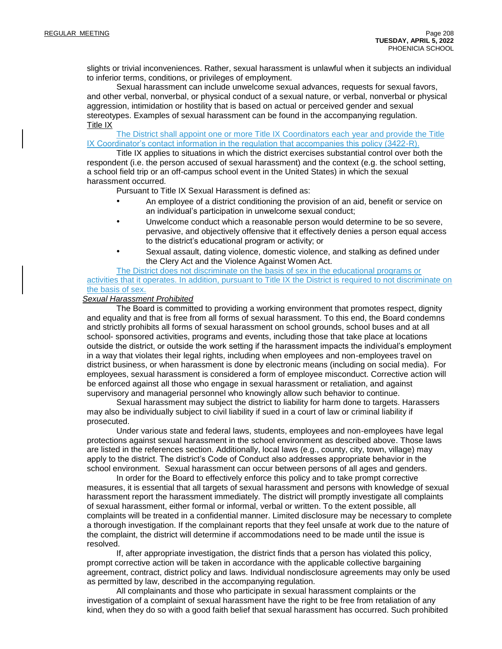slights or trivial inconveniences. Rather, sexual harassment is unlawful when it subjects an individual to inferior terms, conditions, or privileges of employment.

Sexual harassment can include unwelcome sexual advances, requests for sexual favors, and other verbal, nonverbal, or physical conduct of a sexual nature, or verbal, nonverbal or physical aggression, intimidation or hostility that is based on actual or perceived gender and sexual stereotypes. Examples of sexual harassment can be found in the accompanying regulation. Title IX

The District shall appoint one or more Title IX Coordinators each year and provide the Title IX Coordinator's contact information in the regulation that accompanies this policy (3422-R).

Title IX applies to situations in which the district exercises substantial control over both the respondent (i.e. the person accused of sexual harassment) and the context (e.g. the school setting, a school field trip or an off-campus school event in the United States) in which the sexual harassment occurred.

Pursuant to Title IX Sexual Harassment is defined as:

- An employee of a district conditioning the provision of an aid, benefit or service on an individual's participation in unwelcome sexual conduct;
- Unwelcome conduct which a reasonable person would determine to be so severe, pervasive, and objectively offensive that it effectively denies a person equal access to the district's educational program or activity; or
	- Sexual assault, dating violence, domestic violence, and stalking as defined under the Clery Act and the Violence Against Women Act.

The District does not discriminate on the basis of sex in the educational programs or activities that it operates. In addition, pursuant to Title IX the District is required to not discriminate on the basis of sex.

#### *Sexual Harassment Prohibited*

The Board is committed to providing a working environment that promotes respect, dignity and equality and that is free from all forms of sexual harassment. To this end, the Board condemns and strictly prohibits all forms of sexual harassment on school grounds, school buses and at all school- sponsored activities, programs and events, including those that take place at locations outside the district, or outside the work setting if the harassment impacts the individual's employment in a way that violates their legal rights, including when employees and non-employees travel on district business, or when harassment is done by electronic means (including on social media). For employees, sexual harassment is considered a form of employee misconduct. Corrective action will be enforced against all those who engage in sexual harassment or retaliation, and against supervisory and managerial personnel who knowingly allow such behavior to continue.

Sexual harassment may subject the district to liability for harm done to targets. Harassers may also be individually subject to civil liability if sued in a court of law or criminal liability if prosecuted.

Under various state and federal laws, students, employees and non-employees have legal protections against sexual harassment in the school environment as described above. Those laws are listed in the references section. Additionally, local laws (e.g., county, city, town, village) may apply to the district. The district's Code of Conduct also addresses appropriate behavior in the school environment. Sexual harassment can occur between persons of all ages and genders.

In order for the Board to effectively enforce this policy and to take prompt corrective measures, it is essential that all targets of sexual harassment and persons with knowledge of sexual harassment report the harassment immediately. The district will promptly investigate all complaints of sexual harassment, either formal or informal, verbal or written. To the extent possible, all complaints will be treated in a confidential manner. Limited disclosure may be necessary to complete a thorough investigation. If the complainant reports that they feel unsafe at work due to the nature of the complaint, the district will determine if accommodations need to be made until the issue is resolved.

If, after appropriate investigation, the district finds that a person has violated this policy, prompt corrective action will be taken in accordance with the applicable collective bargaining agreement, contract, district policy and laws. Individual nondisclosure agreements may only be used as permitted by law, described in the accompanying regulation.

All complainants and those who participate in sexual harassment complaints or the investigation of a complaint of sexual harassment have the right to be free from retaliation of any kind, when they do so with a good faith belief that sexual harassment has occurred. Such prohibited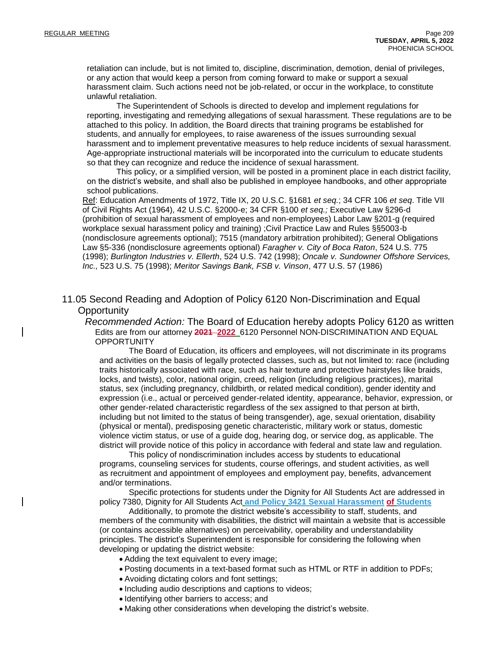retaliation can include, but is not limited to, discipline, discrimination, demotion, denial of privileges, or any action that would keep a person from coming forward to make or support a sexual harassment claim. Such actions need not be job-related, or occur in the workplace, to constitute unlawful retaliation.

The Superintendent of Schools is directed to develop and implement regulations for reporting, investigating and remedying allegations of sexual harassment. These regulations are to be attached to this policy. In addition, the Board directs that training programs be established for students, and annually for employees, to raise awareness of the issues surrounding sexual harassment and to implement preventative measures to help reduce incidents of sexual harassment. Age-appropriate instructional materials will be incorporated into the curriculum to educate students so that they can recognize and reduce the incidence of sexual harassment.

This policy, or a simplified version, will be posted in a prominent place in each district facility, on the district's website, and shall also be published in employee handbooks, and other appropriate school publications.

Ref: Education Amendments of 1972, Title IX, 20 U.S.C. §1681 *et seq.*; 34 CFR 106 *et seq*. Title VII of Civil Rights Act (1964), 42 U.S.C. §2000-e; 34 CFR §100 *et seq.;* Executive Law §296-d (prohibition of sexual harassment of employees and non-employees) Labor Law §201-g (required workplace sexual harassment policy and training) ;Civil Practice Law and Rules §§5003-b (nondisclosure agreements optional); 7515 (mandatory arbitration prohibited); General Obligations Law §5-336 (nondisclosure agreements optional) *Faragher v. City of Boca Raton*, 524 U.S. 775 (1998); *Burlington Industries v. Ellerth*, 524 U.S. 742 (1998); *Oncale v. Sundowner Offshore Services, Inc.,* 523 U.S. 75 (1998); *Meritor Savings Bank, FSB v. Vinson*, 477 U.S. 57 (1986)

11.05 Second Reading and Adoption of Policy 6120 Non-Discrimination and Equal **Opportunity** 

*Recommended Action:* The Board of Education hereby adopts Policy 6120 as written Edits are from our attorney **2021 2022** 6120 Personnel NON-DISCRIMINATION AND EQUAL **OPPORTUNITY** 

The Board of Education, its officers and employees, will not discriminate in its programs and activities on the basis of legally protected classes, such as, but not limited to: race (including traits historically associated with race, such as hair texture and protective hairstyles like braids, locks, and twists), color, national origin, creed, religion (including religious practices), marital status, sex (including pregnancy, childbirth, or related medical condition), gender identity and expression (i.e., actual or perceived gender-related identity, appearance, behavior, expression, or other gender-related characteristic regardless of the sex assigned to that person at birth, including but not limited to the status of being transgender), age, sexual orientation, disability (physical or mental), predisposing genetic characteristic, military work or status, domestic violence victim status, or use of a guide dog, hearing dog, or service dog, as applicable. The district will provide notice of this policy in accordance with federal and state law and regulation.

This policy of nondiscrimination includes access by students to educational programs, counseling services for students, course offerings, and student activities, as well as recruitment and appointment of employees and employment pay, benefits, advancement and/or terminations.

Specific protections for students under the Dignity for All Students Act are addressed in policy 7380, Dignity for All Students Act **and Policy 3421 Sexual Harassment of Students**

Additionally, to promote the district website's accessibility to staff, students, and members of the community with disabilities, the district will maintain a website that is accessible (or contains accessible alternatives) on perceivability, operability and understandability principles. The district's Superintendent is responsible for considering the following when developing or updating the district website:

- Adding the text equivalent to every image;
- Posting documents in a text-based format such as HTML or RTF in addition to PDFs;
- Avoiding dictating colors and font settings;
- Including audio descriptions and captions to videos;
- Identifying other barriers to access; and
- Making other considerations when developing the district's website.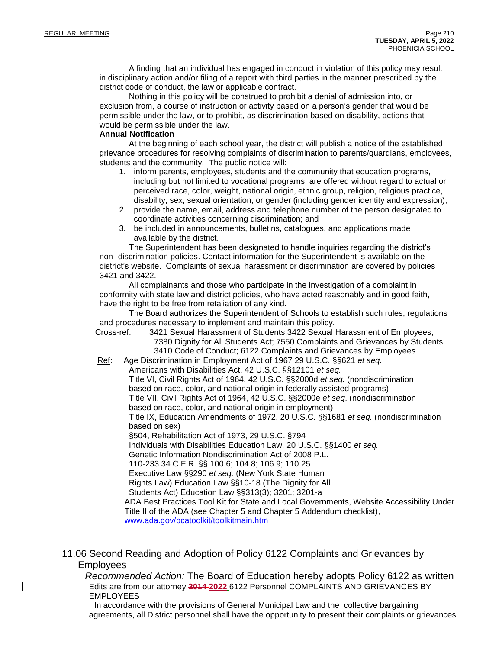A finding that an individual has engaged in conduct in violation of this policy may result in disciplinary action and/or filing of a report with third parties in the manner prescribed by the district code of conduct, the law or applicable contract.

Nothing in this policy will be construed to prohibit a denial of admission into, or exclusion from, a course of instruction or activity based on a person's gender that would be permissible under the law, or to prohibit, as discrimination based on disability, actions that would be permissible under the law.

#### **Annual Notification**

At the beginning of each school year, the district will publish a notice of the established grievance procedures for resolving complaints of discrimination to parents/guardians, employees, students and the community. The public notice will:

- 1. inform parents, employees, students and the community that education programs, including but not limited to vocational programs, are offered without regard to actual or perceived race, color, weight, national origin, ethnic group, religion, religious practice, disability, sex; sexual orientation, or gender (including gender identity and expression);
- 2. provide the name, email, address and telephone number of the person designated to coordinate activities concerning discrimination; and
- 3. be included in announcements, bulletins, catalogues, and applications made available by the district.

The Superintendent has been designated to handle inquiries regarding the district's non- discrimination policies. Contact information for the Superintendent is available on the district's website. Complaints of sexual harassment or discrimination are covered by policies 3421 and 3422.

All complainants and those who participate in the investigation of a complaint in conformity with state law and district policies, who have acted reasonably and in good faith, have the right to be free from retaliation of any kind.

The Board authorizes the Superintendent of Schools to establish such rules, regulations and procedures necessary to implement and maintain this policy.

Cross-ref: 3421 Sexual Harassment of Students;3422 Sexual Harassment of Employees; 7380 Dignity for All Students Act; 7550 Complaints and Grievances by Students 3410 Code of Conduct; 6122 Complaints and Grievances by Employees

Ref: Age Discrimination in Employment Act of 1967 29 U.S.C. §§621 *et seq.* Americans with Disabilities Act, 42 U.S.C. §§12101 *et seq.*

Title VI, Civil Rights Act of 1964, 42 U.S.C. §§2000d *et seq.* (nondiscrimination based on race, color, and national origin in federally assisted programs) Title VII, Civil Rights Act of 1964, 42 U.S.C. §§2000e *et seq*. (nondiscrimination based on race, color, and national origin in employment)

Title IX, Education Amendments of 1972, 20 U.S.C. §§1681 *et seq.* (nondiscrimination based on sex)

§504, Rehabilitation Act of 1973, 29 U.S.C. §794

Individuals with Disabilities Education Law, 20 U.S.C. §§1400 *et seq.*

Genetic Information Nondiscrimination Act of 2008 P.L.

110-233 34 C.F.R. §§ 100.6; 104.8; 106.9; 110.25

Executive Law §§290 *et seq.* (New York State Human

Rights Law) Education Law §§10-18 (The Dignity for All

Students Act) Education Law §§313(3); 3201; 3201-a

ADA Best Practices Tool Kit for State and Local Governments, Website Accessibility Under Title II of the ADA (see Chapter 5 and Chapter 5 Addendum checklist),

[www.ada.gov/pcatoolkit/toolkitmain.htm](http://www.ada.gov/pcatoolkit/toolkitmain.htm)

11.06 Second Reading and Adoption of Policy 6122 Complaints and Grievances by Employees

*Recommended Action:* The Board of Education hereby adopts Policy 6122 as written Edits are from our attorney **2014 2022** 6122 Personnel COMPLAINTS AND GRIEVANCES BY EMPLOYEES

In accordance with the provisions of General Municipal Law and the collective bargaining agreements, all District personnel shall have the opportunity to present their complaints or grievances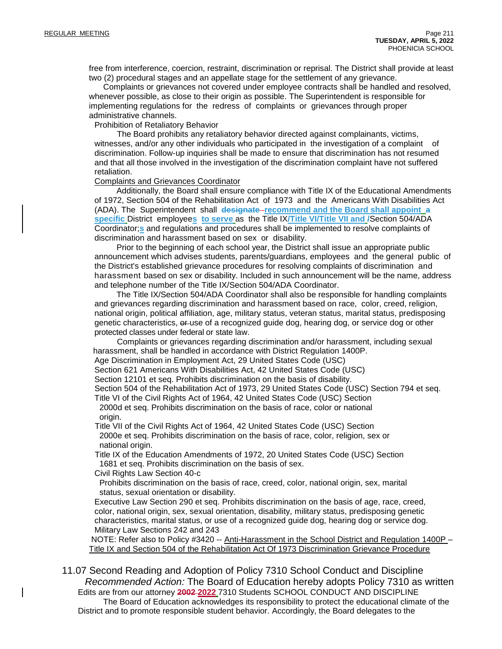free from interference, coercion, restraint, discrimination or reprisal. The District shall provide at least two (2) procedural stages and an appellate stage for the settlement of any grievance.

Complaints or grievances not covered under employee contracts shall be handled and resolved, whenever possible, as close to their origin as possible. The Superintendent is responsible for implementing regulations for the redress of complaints or grievances through proper administrative channels.

Prohibition of Retaliatory Behavior

The Board prohibits any retaliatory behavior directed against complainants, victims, witnesses, and/or any other individuals who participated in the investigation of a complaint of discrimination. Follow-up inquiries shall be made to ensure that discrimination has not resumed and that all those involved in the investigation of the discrimination complaint have not suffered retaliation.

#### Complaints and Grievances Coordinator

Additionally, the Board shall ensure compliance with Title IX of the Educational Amendments of 1972, Section 504 of the Rehabilitation Act of 1973 and the Americans With Disabilities Act (ADA). The Superintendent shall **designate recommend and the Board shall appoint a specific** District employee**s to serve** as the Title IX**/Title VI/Title VII and /**Section 504/ADA Coordinator;**s** and regulations and procedures shall be implemented to resolve complaints of discrimination and harassment based on sex or disability.

Prior to the beginning of each school year, the District shall issue an appropriate public announcement which advises students, parents/guardians, employees and the general public of the District's established grievance procedures for resolving complaints of discrimination and harassment based on sex or disability. Included in such announcement will be the name, address and telephone number of the Title IX/Section 504/ADA Coordinator.

The Title IX/Section 504/ADA Coordinator shall also be responsible for handling complaints and grievances regarding discrimination and harassment based on race, color, creed, religion, national origin, political affiliation, age, military status, veteran status, marital status, predisposing genetic characteristics,  $e^{\mu}$ use of a recognized guide dog, hearing dog, or service dog or other protected classes under federal or state law.

Complaints or grievances regarding discrimination and/or harassment, including sexual harassment, shall be handled in accordance with District Regulation 1400P.

Age Discrimination in Employment Act, 29 United States Code (USC)

Section 621 Americans With Disabilities Act, 42 United States Code (USC)

Section 12101 et seq. Prohibits discrimination on the basis of disability.

Section 504 of the Rehabilitation Act of 1973, 29 United States Code (USC) Section 794 et seq.

Title VI of the Civil Rights Act of 1964, 42 United States Code (USC) Section

2000d et seq. Prohibits discrimination on the basis of race, color or national origin.

Title VII of the Civil Rights Act of 1964, 42 United States Code (USC) Section 2000e et seq. Prohibits discrimination on the basis of race, color, religion, sex or national origin.

Title IX of the Education Amendments of 1972, 20 United States Code (USC) Section 1681 et seq. Prohibits discrimination on the basis of sex.

Civil Rights Law Section 40-c

Prohibits discrimination on the basis of race, creed, color, national origin, sex, marital status, sexual orientation or disability.

Executive Law Section 290 et seq. Prohibits discrimination on the basis of age, race, creed, color, national origin, sex, sexual orientation, disability, military status, predisposing genetic characteristics, marital status, or use of a recognized guide dog, hearing dog or service dog. Military Law Sections 242 and 243

NOTE: Refer also to Policy #3420 -- Anti-Harassment in the School District and Regulation 1400P – Title IX and Section 504 of the Rehabilitation Act Of 1973 Discrimination Grievance Procedure

11.07 Second Reading and Adoption of Policy 7310 School Conduct and Discipline *Recommended Action:* The Board of Education hereby adopts Policy 7310 as written Edits are from our attorney **2002 2022** 7310 Students SCHOOL CONDUCT AND DISCIPLINE The Board of Education acknowledges its responsibility to protect the educational climate of the District and to promote responsible student behavior. Accordingly, the Board delegates to the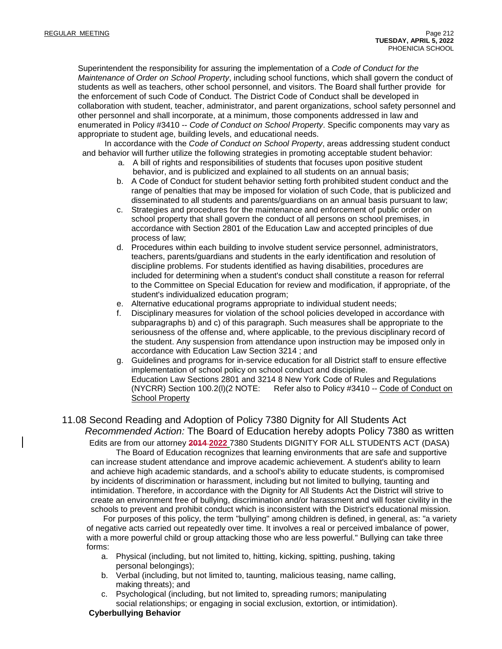Superintendent the responsibility for assuring the implementation of a *Code of Conduct for the Maintenance of Order on School Property*, including school functions, which shall govern the conduct of students as well as teachers, other school personnel, and visitors. The Board shall further provide for the enforcement of such Code of Conduct. The District Code of Conduct shall be developed in collaboration with student, teacher, administrator, and parent organizations, school safety personnel and other personnel and shall incorporate, at a minimum, those components addressed in law and enumerated in Policy #3410 -- *Code of Conduct on School Property*. Specific components may vary as appropriate to student age, building levels, and educational needs.

In accordance with the *Code of Conduct on School Property*, areas addressing student conduct and behavior will further utilize the following strategies in promoting acceptable student behavior:

- a. A bill of rights and responsibilities of students that focuses upon positive student behavior, and is publicized and explained to all students on an annual basis;
- b. A Code of Conduct for student behavior setting forth prohibited student conduct and the range of penalties that may be imposed for violation of such Code, that is publicized and disseminated to all students and parents/guardians on an annual basis pursuant to law;
- c. Strategies and procedures for the maintenance and enforcement of public order on school property that shall govern the conduct of all persons on school premises, in accordance with Section 2801 of the Education Law and accepted principles of due process of law;
- d. Procedures within each building to involve student service personnel, administrators, teachers, parents/guardians and students in the early identification and resolution of discipline problems. For students identified as having disabilities, procedures are included for determining when a student's conduct shall constitute a reason for referral to the Committee on Special Education for review and modification, if appropriate, of the student's individualized education program;
- e. Alternative educational programs appropriate to individual student needs;
- f. Disciplinary measures for violation of the school policies developed in accordance with subparagraphs b) and c) of this paragraph. Such measures shall be appropriate to the seriousness of the offense and, where applicable, to the previous disciplinary record of the student. Any suspension from attendance upon instruction may be imposed only in accordance with Education Law Section 3214 ; and
- g. Guidelines and programs for in-service education for all District staff to ensure effective implementation of school policy on school conduct and discipline. Education Law Sections 2801 and 3214 8 New York Code of Rules and Regulations (NYCRR) Section 100.2(l)(2 NOTE: Refer also to Policy #3410 -- Code of Conduct on School Property

# 11.08 Second Reading and Adoption of Policy 7380 Dignity for All Students Act *Recommended Action:* The Board of Education hereby adopts Policy 7380 as written

Edits are from our attorney **2014 2022** 7380 Students DIGNITY FOR ALL STUDENTS ACT (DASA)

The Board of Education recognizes that learning environments that are safe and supportive can increase student attendance and improve academic achievement. A student's ability to learn and achieve high academic standards, and a school's ability to educate students, is compromised by incidents of discrimination or harassment, including but not limited to bullying, taunting and intimidation. Therefore, in accordance with the Dignity for All Students Act the District will strive to create an environment free of bullying, discrimination and/or harassment and will foster civility in the schools to prevent and prohibit conduct which is inconsistent with the District's educational mission.

For purposes of this policy, the term "bullying" among children is defined, in general, as: "a variety of negative acts carried out repeatedly over time. It involves a real or perceived imbalance of power, with a more powerful child or group attacking those who are less powerful." Bullying can take three forms:

- a. Physical (including, but not limited to, hitting, kicking, spitting, pushing, taking personal belongings);
- b. Verbal (including, but not limited to, taunting, malicious teasing, name calling, making threats); and
- c. Psychological (including, but not limited to, spreading rumors; manipulating social relationships; or engaging in social exclusion, extortion, or intimidation).

## **Cyberbullying Behavior**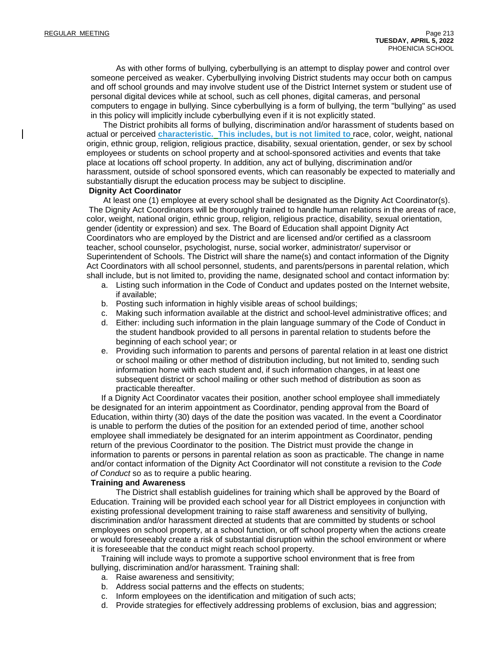As with other forms of bullying, cyberbullying is an attempt to display power and control over someone perceived as weaker. Cyberbullying involving District students may occur both on campus and off school grounds and may involve student use of the District Internet system or student use of personal digital devices while at school, such as cell phones, digital cameras, and personal computers to engage in bullying. Since cyberbullying is a form of bullying, the term "bullying" as used in this policy will implicitly include cyberbullying even if it is not explicitly stated.

The District prohibits all forms of bullying, discrimination and/or harassment of students based on actual or perceived **characteristic. This includes, but is not limited to** race, color, weight, national origin, ethnic group, religion, religious practice, disability, sexual orientation, gender, or sex by school employees or students on school property and at school-sponsored activities and events that take place at locations off school property. In addition, any act of bullying, discrimination and/or harassment, outside of school sponsored events, which can reasonably be expected to materially and substantially disrupt the education process may be subject to discipline.

#### **Dignity Act Coordinator**

At least one (1) employee at every school shall be designated as the Dignity Act Coordinator(s). The Dignity Act Coordinators will be thoroughly trained to handle human relations in the areas of race, color, weight, national origin, ethnic group, religion, religious practice, disability, sexual orientation, gender (identity or expression) and sex. The Board of Education shall appoint Dignity Act Coordinators who are employed by the District and are licensed and/or certified as a classroom teacher, school counselor, psychologist, nurse, social worker, administrator/ supervisor or Superintendent of Schools. The District will share the name(s) and contact information of the Dignity Act Coordinators with all school personnel, students, and parents/persons in parental relation, which shall include, but is not limited to, providing the name, designated school and contact information by:

- a. Listing such information in the Code of Conduct and updates posted on the Internet website, if available;
- b. Posting such information in highly visible areas of school buildings;
- c. Making such information available at the district and school-level administrative offices; and
- d. Either: including such information in the plain language summary of the Code of Conduct in the student handbook provided to all persons in parental relation to students before the beginning of each school year; or
- e. Providing such information to parents and persons of parental relation in at least one district or school mailing or other method of distribution including, but not limited to, sending such information home with each student and, if such information changes, in at least one subsequent district or school mailing or other such method of distribution as soon as practicable thereafter.

If a Dignity Act Coordinator vacates their position, another school employee shall immediately be designated for an interim appointment as Coordinator, pending approval from the Board of Education, within thirty (30) days of the date the position was vacated. In the event a Coordinator is unable to perform the duties of the position for an extended period of time, another school employee shall immediately be designated for an interim appointment as Coordinator, pending return of the previous Coordinator to the position. The District must provide the change in information to parents or persons in parental relation as soon as practicable. The change in name and/or contact information of the Dignity Act Coordinator will not constitute a revision to the *Code of Conduct* so as to require a public hearing.

#### **Training and Awareness**

The District shall establish guidelines for training which shall be approved by the Board of Education. Training will be provided each school year for all District employees in conjunction with existing professional development training to raise staff awareness and sensitivity of bullying, discrimination and/or harassment directed at students that are committed by students or school employees on school property, at a school function, or off school property when the actions create or would foreseeably create a risk of substantial disruption within the school environment or where it is foreseeable that the conduct might reach school property.

Training will include ways to promote a supportive school environment that is free from bullying, discrimination and/or harassment. Training shall:

- a. Raise awareness and sensitivity;
- b. Address social patterns and the effects on students;
- c. Inform employees on the identification and mitigation of such acts;
- d. Provide strategies for effectively addressing problems of exclusion, bias and aggression;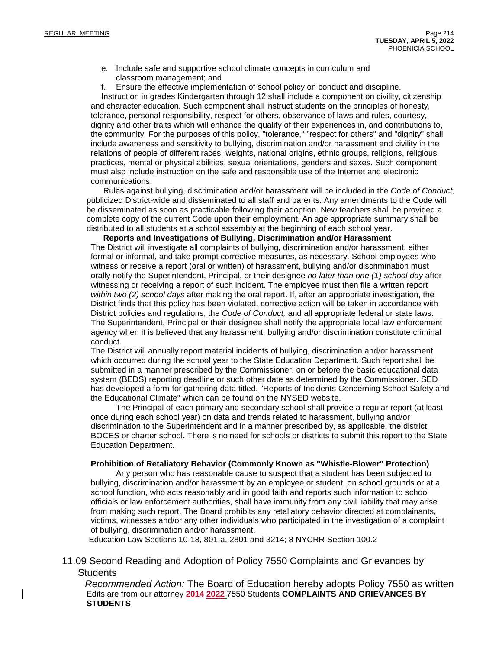- e. Include safe and supportive school climate concepts in curriculum and classroom management; and
- f. Ensure the effective implementation of school policy on conduct and discipline.

Instruction in grades Kindergarten through 12 shall include a component on civility, citizenship and character education. Such component shall instruct students on the principles of honesty, tolerance, personal responsibility, respect for others, observance of laws and rules, courtesy, dignity and other traits which will enhance the quality of their experiences in, and contributions to, the community. For the purposes of this policy, "tolerance," "respect for others" and "dignity" shall include awareness and sensitivity to bullying, discrimination and/or harassment and civility in the relations of people of different races, weights, national origins, ethnic groups, religions, religious practices, mental or physical abilities, sexual orientations, genders and sexes. Such component must also include instruction on the safe and responsible use of the Internet and electronic communications.

Rules against bullying, discrimination and/or harassment will be included in the *Code of Conduct,* publicized District-wide and disseminated to all staff and parents. Any amendments to the Code will be disseminated as soon as practicable following their adoption. New teachers shall be provided a complete copy of the current Code upon their employment. An age appropriate summary shall be distributed to all students at a school assembly at the beginning of each school year.

**Reports and Investigations of Bullying, Discrimination and/or Harassment** The District will investigate all complaints of bullying, discrimination and/or harassment, either formal or informal, and take prompt corrective measures, as necessary. School employees who witness or receive a report (oral or written) of harassment, bullying and/or discrimination must orally notify the Superintendent, Principal, or their designee *no later than one (1) school day* after witnessing or receiving a report of such incident. The employee must then file a written report *within two (2) school days* after making the oral report. If, after an appropriate investigation, the District finds that this policy has been violated, corrective action will be taken in accordance with District policies and regulations, the *Code of Conduct,* and all appropriate federal or state laws. The Superintendent, Principal or their designee shall notify the appropriate local law enforcement agency when it is believed that any harassment, bullying and/or discrimination constitute criminal conduct.

The District will annually report material incidents of bullying, discrimination and/or harassment which occurred during the school year to the State Education Department. Such report shall be submitted in a manner prescribed by the Commissioner, on or before the basic educational data system (BEDS) reporting deadline or such other date as determined by the Commissioner. SED has developed a form for gathering data titled, "Reports of Incidents Concerning School Safety and the Educational Climate" which can be found on the NYSED website.

The Principal of each primary and secondary school shall provide a regular report (at least once during each school year) on data and trends related to harassment, bullying and/or discrimination to the Superintendent and in a manner prescribed by, as applicable, the district, BOCES or charter school. There is no need for schools or districts to submit this report to the State Education Department.

#### **Prohibition of Retaliatory Behavior (Commonly Known as "Whistle-Blower" Protection)**

Any person who has reasonable cause to suspect that a student has been subjected to bullying, discrimination and/or harassment by an employee or student, on school grounds or at a school function, who acts reasonably and in good faith and reports such information to school officials or law enforcement authorities, shall have immunity from any civil liability that may arise from making such report. The Board prohibits any retaliatory behavior directed at complainants, victims, witnesses and/or any other individuals who participated in the investigation of a complaint of bullying, discrimination and/or harassment.

Education Law Sections 10-18, 801-a, 2801 and 3214; 8 NYCRR Section 100.2

11.09 Second Reading and Adoption of Policy 7550 Complaints and Grievances by **Students** 

*Recommended Action:* The Board of Education hereby adopts Policy 7550 as written Edits are from our attorney **2014 2022** 7550 Students **COMPLAINTS AND GRIEVANCES BY STUDENTS**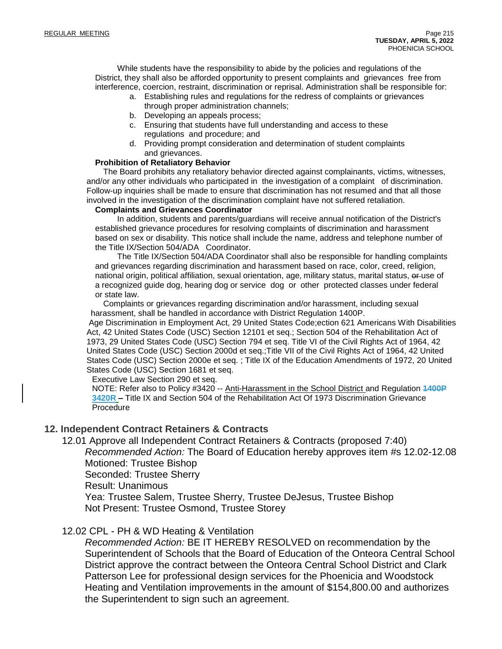While students have the responsibility to abide by the policies and regulations of the District, they shall also be afforded opportunity to present complaints and grievances free from interference, coercion, restraint, discrimination or reprisal. Administration shall be responsible for:

- a. Establishing rules and regulations for the redress of complaints or grievances through proper administration channels;
- b. Developing an appeals process;
- c. Ensuring that students have full understanding and access to these regulations and procedure; and
- d. Providing prompt consideration and determination of student complaints and grievances.

## **Prohibition of Retaliatory Behavior**

The Board prohibits any retaliatory behavior directed against complainants, victims, witnesses, and/or any other individuals who participated in the investigation of a complaint of discrimination. Follow-up inquiries shall be made to ensure that discrimination has not resumed and that all those involved in the investigation of the discrimination complaint have not suffered retaliation.

#### **Complaints and Grievances Coordinator**

In addition, students and parents/guardians will receive annual notification of the District's established grievance procedures for resolving complaints of discrimination and harassment based on sex or disability. This notice shall include the name, address and telephone number of the Title IX/Section 504/ADA Coordinator.

The Title IX/Section 504/ADA Coordinator shall also be responsible for handling complaints and grievances regarding discrimination and harassment based on race, color, creed, religion, national origin, political affiliation, sexual orientation, age, military status, marital status, or use of a recognized guide dog, hearing dog or service dog or other protected classes under federal or state law.

Complaints or grievances regarding discrimination and/or harassment, including sexual harassment, shall be handled in accordance with District Regulation 1400P.

Age Discrimination in Employment Act, 29 United States Code;ection 621 Americans With Disabilities Act, 42 United States Code (USC) Section 12101 et seq.; Section 504 of the Rehabilitation Act of 1973, 29 United States Code (USC) Section 794 et seq. Title VI of the Civil Rights Act of 1964, 42 United States Code (USC) Section 2000d et seq.;Title VII of the Civil Rights Act of 1964, 42 United States Code (USC) Section 2000e et seq. ; Title IX of the Education Amendments of 1972, 20 United States Code (USC) Section 1681 et seq.

Executive Law Section 290 et seq.

NOTE: Refer also to Policy #3420 -- Anti-Harassment in the School District and Regulation **1400P 3420R –** Title IX and Section 504 of the Rehabilitation Act Of 1973 Discrimination Grievance Procedure

## **12. Independent Contract Retainers & Contracts**

12.01 Approve all Independent Contract Retainers & Contracts (proposed 7:40)

*Recommended Action:* The Board of Education hereby approves item #s 12.02-12.08 Motioned: Trustee Bishop

Seconded: Trustee Sherry

Result: Unanimous

Yea: Trustee Salem, Trustee Sherry, Trustee DeJesus, Trustee Bishop Not Present: Trustee Osmond, Trustee Storey

## 12.02 CPL - PH & WD Heating & Ventilation

*Recommended Action:* BE IT HEREBY RESOLVED on recommendation by the Superintendent of Schools that the Board of Education of the Onteora Central School District approve the contract between the Onteora Central School District and Clark Patterson Lee for professional design services for the Phoenicia and Woodstock Heating and Ventilation improvements in the amount of \$154,800.00 and authorizes the Superintendent to sign such an agreement.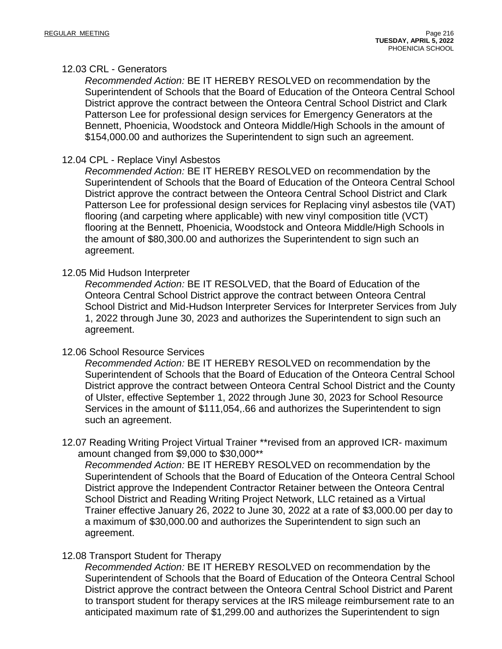## 12.03 CRL - Generators

*Recommended Action:* BE IT HEREBY RESOLVED on recommendation by the Superintendent of Schools that the Board of Education of the Onteora Central School District approve the contract between the Onteora Central School District and Clark Patterson Lee for professional design services for Emergency Generators at the Bennett, Phoenicia, Woodstock and Onteora Middle/High Schools in the amount of \$154,000.00 and authorizes the Superintendent to sign such an agreement.

## 12.04 CPL - Replace Vinyl Asbestos

*Recommended Action:* BE IT HEREBY RESOLVED on recommendation by the Superintendent of Schools that the Board of Education of the Onteora Central School District approve the contract between the Onteora Central School District and Clark Patterson Lee for professional design services for Replacing vinyl asbestos tile (VAT) flooring (and carpeting where applicable) with new vinyl composition title (VCT) flooring at the Bennett, Phoenicia, Woodstock and Onteora Middle/High Schools in the amount of \$80,300.00 and authorizes the Superintendent to sign such an agreement.

## 12.05 Mid Hudson Interpreter

*Recommended Action:* BE IT RESOLVED, that the Board of Education of the Onteora Central School District approve the contract between Onteora Central School District and Mid-Hudson Interpreter Services for Interpreter Services from July 1, 2022 through June 30, 2023 and authorizes the Superintendent to sign such an agreement.

## 12.06 School Resource Services

*Recommended Action:* BE IT HEREBY RESOLVED on recommendation by the Superintendent of Schools that the Board of Education of the Onteora Central School District approve the contract between Onteora Central School District and the County of Ulster, effective September 1, 2022 through June 30, 2023 for School Resource Services in the amount of \$111,054,.66 and authorizes the Superintendent to sign such an agreement.

12.07 Reading Writing Project Virtual Trainer \*\*revised from an approved ICR- maximum amount changed from \$9,000 to \$30,000\*\*

*Recommended Action:* BE IT HEREBY RESOLVED on recommendation by the Superintendent of Schools that the Board of Education of the Onteora Central School District approve the Independent Contractor Retainer between the Onteora Central School District and Reading Writing Project Network, LLC retained as a Virtual Trainer effective January 26, 2022 to June 30, 2022 at a rate of \$3,000.00 per day to a maximum of \$30,000.00 and authorizes the Superintendent to sign such an agreement.

## 12.08 Transport Student for Therapy

*Recommended Action:* BE IT HEREBY RESOLVED on recommendation by the Superintendent of Schools that the Board of Education of the Onteora Central School District approve the contract between the Onteora Central School District and Parent to transport student for therapy services at the IRS mileage reimbursement rate to an anticipated maximum rate of \$1,299.00 and authorizes the Superintendent to sign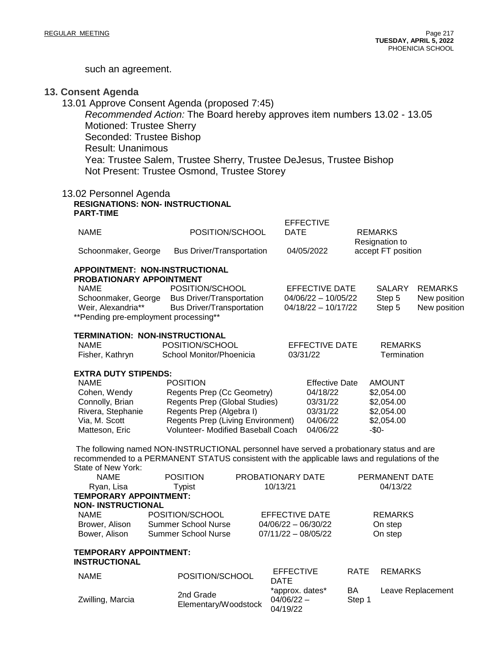such an agreement.

## **13. Consent Agenda**

13.01 Approve Consent Agenda (proposed 7:45) *Recommended Action:* The Board hereby approves item numbers 13.02 - 13.05 Motioned: Trustee Sherry Seconded: Trustee Bishop Result: Unanimous Yea: Trustee Salem, Trustee Sherry, Trustee DeJesus, Trustee Bishop Not Present: Trustee Osmond, Trustee Storey

#### 13.02 Personnel Agenda **RESIGNATIONS: NON- INSTRUCTIONAL PART-TIME**

Zwilling, Marcia 2nd Grade

| <b>NAME</b>                                                       | POSITION/SCHOOL                              | <b>DATE</b> | EFFECTIVE             | <b>REMARKS</b>                       |                |
|-------------------------------------------------------------------|----------------------------------------------|-------------|-----------------------|--------------------------------------|----------------|
| Schoonmaker, George                                               | <b>Bus Driver/Transportation</b>             |             | 04/05/2022            | Resignation to<br>accept FT position |                |
| APPOINTMENT: NON-INSTRUCTIONAL<br><b>PROBATIONARY APPOINTMENT</b> |                                              |             |                       |                                      |                |
| <b>NAME</b>                                                       | POSITION/SCHOOL                              |             | EFFECTIVE DATE        | <b>SALARY</b>                        | <b>REMARKS</b> |
| Schoonmaker, George                                               | <b>Bus Driver/Transportation</b>             |             | 04/06/22 - 10/05/22   | Step 5                               | New position   |
|                                                                   | Weir, Alexandria** Bus Driver/Transportation |             | 04/18/22 - 10/17/22   | Step 5                               | New position   |
| **Pending pre-employment processing**                             |                                              |             |                       |                                      |                |
| <b>TERMINATION: NON-INSTRUCTIONAL</b>                             |                                              |             |                       |                                      |                |
| <b>NAME</b>                                                       | POSITION/SCHOOL                              |             | EFFECTIVE DATE        | <b>REMARKS</b>                       |                |
| Fisher, Kathryn                                                   | School Monitor/Phoenicia                     | 03/31/22    |                       | Termination                          |                |
| <b>EXTRA DUTY STIPENDS:</b>                                       |                                              |             |                       |                                      |                |
| <b>NAME</b>                                                       | <b>POSITION</b>                              |             | <b>Effective Date</b> | <b>AMOUNT</b>                        |                |
| Cohen, Wendy                                                      | Regents Prep (Cc Geometry)                   |             | 04/18/22              | \$2,054.00                           |                |
| Connolly, Brian                                                   | Regents Prep (Global Studies)                |             | 03/31/22              | \$2,054.00                           |                |
| Rivera, Stephanie                                                 | Regents Prep (Algebra I)                     |             | 03/31/22              | \$2,054.00                           |                |
| Via, M. Scott                                                     | Regents Prep (Living Environment)            |             | 04/06/22              | \$2,054.00                           |                |

 $F = F = G = W$ 

The following named NON-INSTRUCTIONAL personnel have served a probationary status and are recommended to a PERMANENT STATUS consistent with the applicable laws and regulations of the State of New York:

Matteson, Eric Volunteer- Modified Baseball Coach 04/06/22 - \$0-

Elementary/Woodstock

| <b>NAME</b>                                    | <b>POSITION</b>     | PROBATIONARY DATE               | PERMANENT DATE                |  |  |  |  |
|------------------------------------------------|---------------------|---------------------------------|-------------------------------|--|--|--|--|
| Ryan, Lisa                                     | Typist              | 10/13/21                        | 04/13/22                      |  |  |  |  |
| <b>TEMPORARY APPOINTMENT:</b>                  |                     |                                 |                               |  |  |  |  |
| <b>NON- INSTRUCTIONAL</b>                      |                     |                                 |                               |  |  |  |  |
| NAME                                           | POSITION/SCHOOL     | EFFECTIVE DATE                  | <b>REMARKS</b>                |  |  |  |  |
| Brower, Alison                                 | Summer School Nurse | $04/06/22 - 06/30/22$           | On step                       |  |  |  |  |
| Bower, Alison                                  | Summer School Nurse | $07/11/22 - 08/05/22$           | On step                       |  |  |  |  |
| <b>TEMPORARY APPOINTMENT:</b><br>INSTRUCTIONAL |                     |                                 |                               |  |  |  |  |
| <b>NAME</b>                                    | POSITION/SCHOOL     | <b>EFFECTIVE</b><br><b>DATE</b> | <b>REMARKS</b><br><b>RATE</b> |  |  |  |  |

\*approx. dates\* 04/06/22 – 04/19/22

BA Step 1 Leave Replacement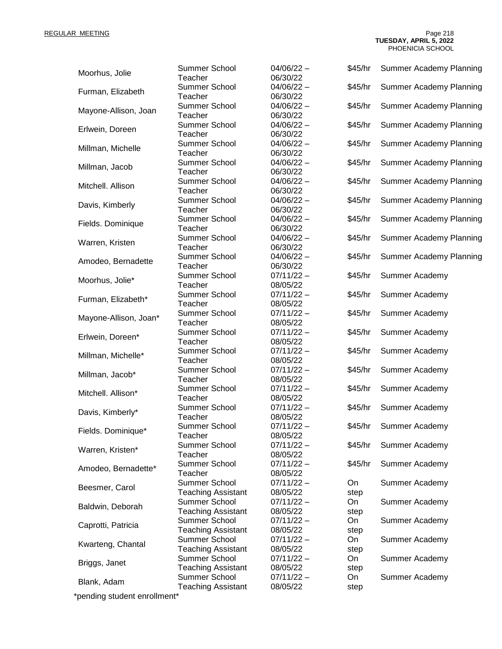REGULAR MEETING Page 218 **TUESDAY, APRIL 5, 2022** PHOENICIA SCHOOL

| Moorhus, Jolie               | Summer School<br>Teacher                          | $04/06/22 -$<br>06/30/22 | \$45/hr    | Summer Academy Planning        |
|------------------------------|---------------------------------------------------|--------------------------|------------|--------------------------------|
| Furman, Elizabeth            | Summer School<br>Teacher                          | $04/06/22 -$<br>06/30/22 | \$45/hr    | <b>Summer Academy Planning</b> |
| Mayone-Allison, Joan         | Summer School<br>Teacher                          | $04/06/22 -$<br>06/30/22 | \$45/hr    | <b>Summer Academy Planning</b> |
| Erlwein, Doreen              | Summer School<br>Teacher                          | $04/06/22 -$<br>06/30/22 | \$45/hr    | <b>Summer Academy Planning</b> |
| Millman, Michelle            | Summer School<br>Teacher                          | $04/06/22 -$<br>06/30/22 | \$45/hr    | <b>Summer Academy Planning</b> |
| Millman, Jacob               | Summer School<br>Teacher                          | $04/06/22 -$<br>06/30/22 | \$45/hr    | Summer Academy Planning        |
| Mitchell. Allison            | Summer School<br>Teacher                          | $04/06/22 -$<br>06/30/22 | \$45/hr    | <b>Summer Academy Planning</b> |
| Davis, Kimberly              | Summer School<br>Teacher                          | $04/06/22 -$<br>06/30/22 | \$45/hr    | Summer Academy Planning        |
| Fields. Dominique            | Summer School<br>Teacher                          | $04/06/22 -$<br>06/30/22 | \$45/hr    | <b>Summer Academy Planning</b> |
| Warren, Kristen              | Summer School<br>Teacher                          | $04/06/22 -$<br>06/30/22 | \$45/hr    | <b>Summer Academy Planning</b> |
| Amodeo, Bernadette           | <b>Summer School</b><br>Teacher                   | $04/06/22 -$<br>06/30/22 | \$45/hr    | <b>Summer Academy Planning</b> |
| Moorhus, Jolie*              | Summer School<br>Teacher                          | $07/11/22 -$<br>08/05/22 | \$45/hr    | Summer Academy                 |
| Furman, Elizabeth*           | Summer School<br>Teacher                          | $07/11/22 -$<br>08/05/22 | \$45/hr    | Summer Academy                 |
| Mayone-Allison, Joan*        | Summer School<br>Teacher                          | $07/11/22 -$<br>08/05/22 | \$45/hr    | Summer Academy                 |
| Erlwein, Doreen*             | Summer School<br>Teacher                          | $07/11/22 -$<br>08/05/22 | \$45/hr    | Summer Academy                 |
| Millman, Michelle*           | Summer School<br>Teacher                          | $07/11/22 -$<br>08/05/22 | \$45/hr    | Summer Academy                 |
| Millman, Jacob*              | Summer School<br>Teacher                          | $07/11/22 -$<br>08/05/22 | \$45/hr    | Summer Academy                 |
| Mitchell. Allison*           | Summer School<br>Teacher                          | $07/11/22 -$<br>08/05/22 | \$45/hr    | Summer Academy                 |
| Davis, Kimberly*             | Summer School<br>Teacher                          | $07/11/22 -$<br>08/05/22 | \$45/hr    | Summer Academy                 |
| Fields. Dominique*           | Summer School<br>Teacher                          | $07/11/22 -$<br>08/05/22 | \$45/hr    | Summer Academy                 |
| Warren, Kristen*             | <b>Summer School</b><br>Teacher                   | $07/11/22 -$<br>08/05/22 | \$45/hr    | Summer Academy                 |
| Amodeo, Bernadette*          | Summer School<br>Teacher                          | $07/11/22 -$<br>08/05/22 | \$45/hr    | Summer Academy                 |
| Beesmer, Carol               | <b>Summer School</b><br><b>Teaching Assistant</b> | $07/11/22 -$<br>08/05/22 | On<br>step | Summer Academy                 |
| Baldwin, Deborah             | Summer School<br><b>Teaching Assistant</b>        | $07/11/22 -$<br>08/05/22 | On<br>step | Summer Academy                 |
| Caprotti, Patricia           | Summer School<br><b>Teaching Assistant</b>        | $07/11/22 -$<br>08/05/22 | On<br>step | Summer Academy                 |
| Kwarteng, Chantal            | Summer School<br><b>Teaching Assistant</b>        | $07/11/22 -$<br>08/05/22 | On<br>step | Summer Academy                 |
| Briggs, Janet                | Summer School<br><b>Teaching Assistant</b>        | $07/11/22 -$<br>08/05/22 | On<br>step | Summer Academy                 |
| Blank, Adam                  | <b>Summer School</b><br><b>Teaching Assistant</b> | $07/11/22 -$<br>08/05/22 | On<br>step | Summer Academy                 |
| *pending student enrollment* |                                                   |                          |            |                                |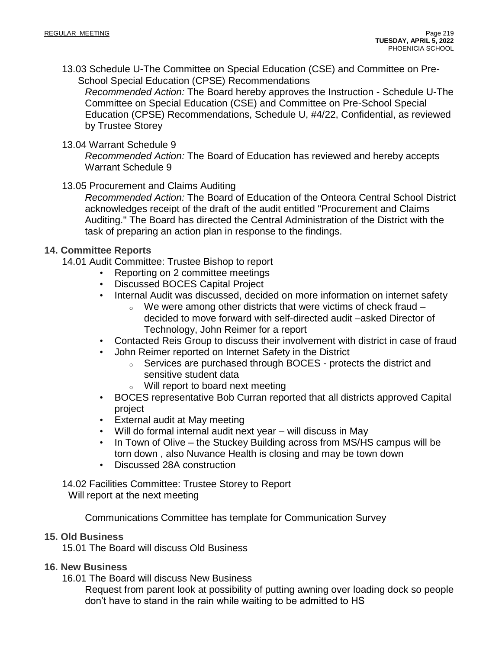13.03 Schedule U-The Committee on Special Education (CSE) and Committee on Pre-School Special Education (CPSE) Recommendations

*Recommended Action:* The Board hereby approves the Instruction - Schedule U-The Committee on Special Education (CSE) and Committee on Pre-School Special Education (CPSE) Recommendations, Schedule U, #4/22, Confidential, as reviewed by Trustee Storey

## 13.04 Warrant Schedule 9

*Recommended Action:* The Board of Education has reviewed and hereby accepts Warrant Schedule 9

## 13.05 Procurement and Claims Auditing

*Recommended Action:* The Board of Education of the Onteora Central School District acknowledges receipt of the draft of the audit entitled "Procurement and Claims Auditing." The Board has directed the Central Administration of the District with the task of preparing an action plan in response to the findings.

## **14. Committee Reports**

14.01 Audit Committee: Trustee Bishop to report

- Reporting on 2 committee meetings
- Discussed BOCES Capital Project
- Internal Audit was discussed, decided on more information on internet safety
	- $\circ$  We were among other districts that were victims of check fraud  $$ decided to move forward with self-directed audit –asked Director of Technology, John Reimer for a report
- Contacted Reis Group to discuss their involvement with district in case of fraud
- John Reimer reported on Internet Safety in the District
	- <sup>o</sup> Services are purchased through BOCES protects the district and sensitive student data
	- <sup>o</sup> Will report to board next meeting
- BOCES representative Bob Curran reported that all districts approved Capital project
- External audit at May meeting
- Will do formal internal audit next year will discuss in May
- In Town of Olive the Stuckey Building across from MS/HS campus will be torn down , also Nuvance Health is closing and may be town down
- Discussed 28A construction

14.02 Facilities Committee: Trustee Storey to Report Will report at the next meeting

Communications Committee has template for Communication Survey

## **15. Old Business**

15.01 The Board will discuss Old Business

# **16. New Business**

16.01 The Board will discuss New Business

Request from parent look at possibility of putting awning over loading dock so people don't have to stand in the rain while waiting to be admitted to HS